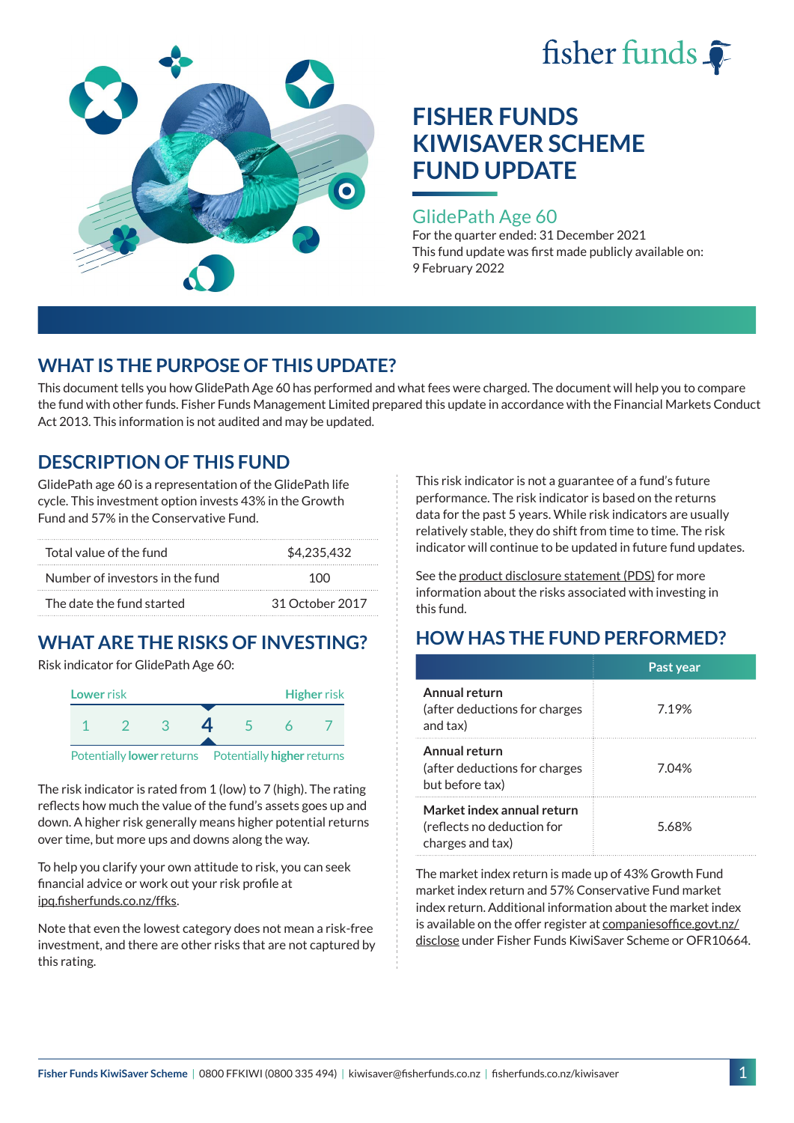



### GlidePath Age 60

For the quarter ended: 31 December 2021 This fund update was first made publicly available on: 9 February 2022

## **WHAT IS THE PURPOSE OF THIS UPDATE?**

This document tells you how GlidePath Age 60 has performed and what fees were charged. The document will help you to compare the fund with other funds. Fisher Funds Management Limited prepared this update in accordance with the Financial Markets Conduct Act 2013. This information is not audited and may be updated.

## **DESCRIPTION OF THIS FUND**

GlidePath age 60 is a representation of the GlidePath life cycle. This investment option invests 43% in the Growth Fund and 57% in the Conservative Fund.

| Total value of the fund         | \$4,235,432     |  |
|---------------------------------|-----------------|--|
| Number of investors in the fund | 100             |  |
| The date the fund started       | 31 October 2017 |  |

# **WHAT ARE THE RISKS OF INVESTING?**

Risk indicator for GlidePath Age 60:



The risk indicator is rated from 1 (low) to 7 (high). The rating reflects how much the value of the fund's assets goes up and

down. A higher risk generally means higher potential returns over time, but more ups and downs along the way.

To help you clarify your own attitude to risk, you can seek financial advice or work out your risk profile at [ipq.fisherfunds.co.nz/ffks](https://ipq.fisherfunds.co.nz/ffks).

Note that even the lowest category does not mean a risk-free investment, and there are other risks that are not captured by this rating.

This risk indicator is not a guarantee of a fund's future performance. The risk indicator is based on the returns data for the past 5 years. While risk indicators are usually relatively stable, they do shift from time to time. The risk indicator will continue to be updated in future fund updates.

See the [product disclosure statement \(PDS\)](https://fisherfunds.co.nz/assets/PDS/Fisher-Funds-KiwiSaver-Scheme-PDS.pdf) for more information about the risks associated with investing in this fund.

## **HOW HAS THE FUND PERFORMED?**

|                                                                              | Past year |
|------------------------------------------------------------------------------|-----------|
| Annual return<br>(after deductions for charges<br>and tax)                   | 7.19%     |
| Annual return<br>(after deductions for charges<br>but before tax)            | 7.04%     |
| Market index annual return<br>(reflects no deduction for<br>charges and tax) | 5.68%     |

The market index return is made up of 43% Growth Fund market index return and 57% Conservative Fund market index return. Additional information about the market index is available on the offer register at [companiesoffice.govt.nz/](http://companiesoffice.govt.nz/disclose) [disclose](http://companiesoffice.govt.nz/disclose) under Fisher Funds KiwiSaver Scheme or OFR10664.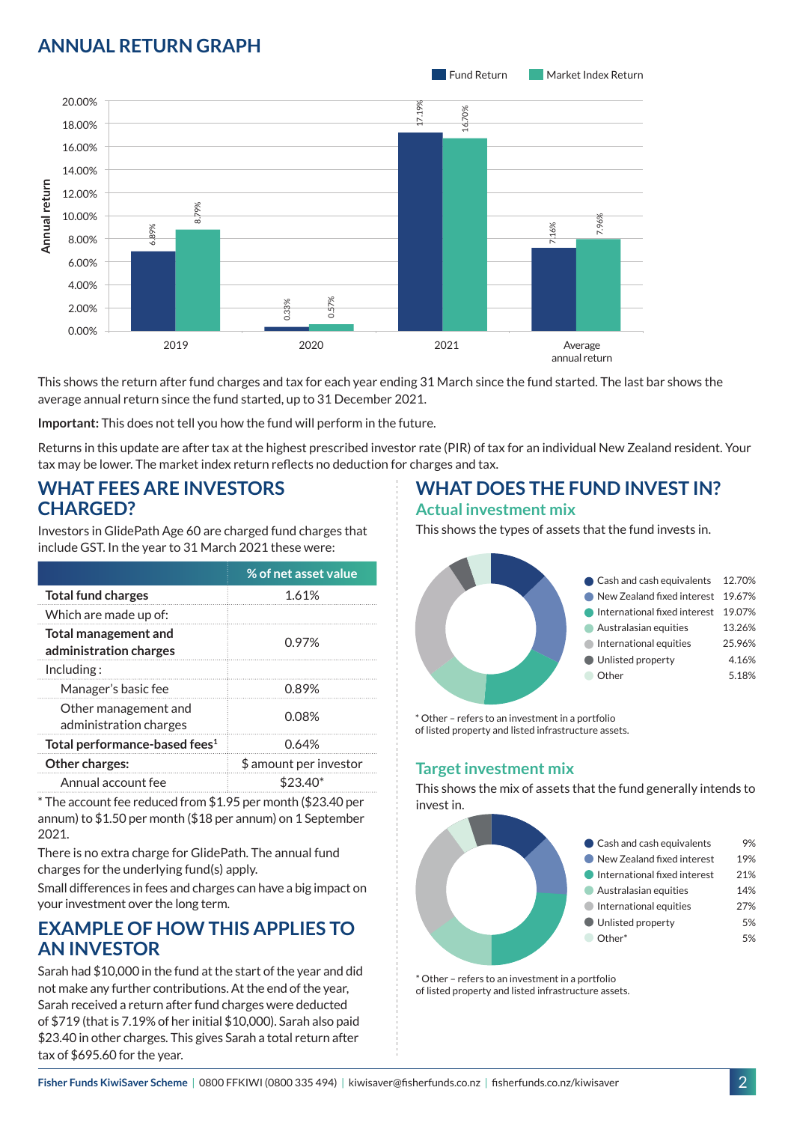## **ANNUAL RETURN GRAPH**



This shows the return after fund charges and tax for each year ending 31 March since the fund started. The last bar shows the average annual return since the fund started, up to 31 December 2021.

**Important:** This does not tell you how the fund will perform in the future.

Returns in this update are after tax at the highest prescribed investor rate (PIR) of tax for an individual New Zealand resident. Your tax may be lower. The market index return reflects no deduction for charges and tax.

### **WHAT FEES ARE INVESTORS CHARGED?**

Investors in GlidePath Age 60 are charged fund charges that include GST. In the year to 31 March 2021 these were:

|                                                       | % of net asset value   |  |
|-------------------------------------------------------|------------------------|--|
| <b>Total fund charges</b>                             | 1.61%                  |  |
| Which are made up of:                                 |                        |  |
| <b>Total management and</b><br>administration charges | 0.97%                  |  |
| Inding:                                               |                        |  |
| Manager's basic fee                                   | 0.89%                  |  |
| Other management and<br>administration charges        | 0.08%                  |  |
| Total performance-based fees <sup>1</sup>             | 0.64%                  |  |
| Other charges:                                        | \$ amount per investor |  |
| Annual account fee                                    |                        |  |

\* The account fee reduced from \$1.95 per month (\$23.40 per annum) to \$1.50 per month (\$18 per annum) on 1 September 2021.

There is no extra charge for GlidePath. The annual fund charges for the underlying fund(s) apply.

Small differences in fees and charges can have a big impact on your investment over the long term.

## **EXAMPLE OF HOW THIS APPLIES TO AN INVESTOR**

Sarah had \$10,000 in the fund at the start of the year and did not make any further contributions. At the end of the year, Sarah received a return after fund charges were deducted of \$719 (that is 7.19% of her initial \$10,000). Sarah also paid \$23.40 in other charges. This gives Sarah a total return after tax of \$695.60 for the year.

# **WHAT DOES THE FUND INVEST IN?**

#### **Actual investment mix**

This shows the types of assets that the fund invests in.



\* Other – refers to an investment in a portfolio of listed property and listed infrastructure assets.

### **Target investment mix**

This shows the mix of assets that the fund generally intends to invest in.



\* Other – refers to an investment in a portfolio of listed property and listed infrastructure assets.